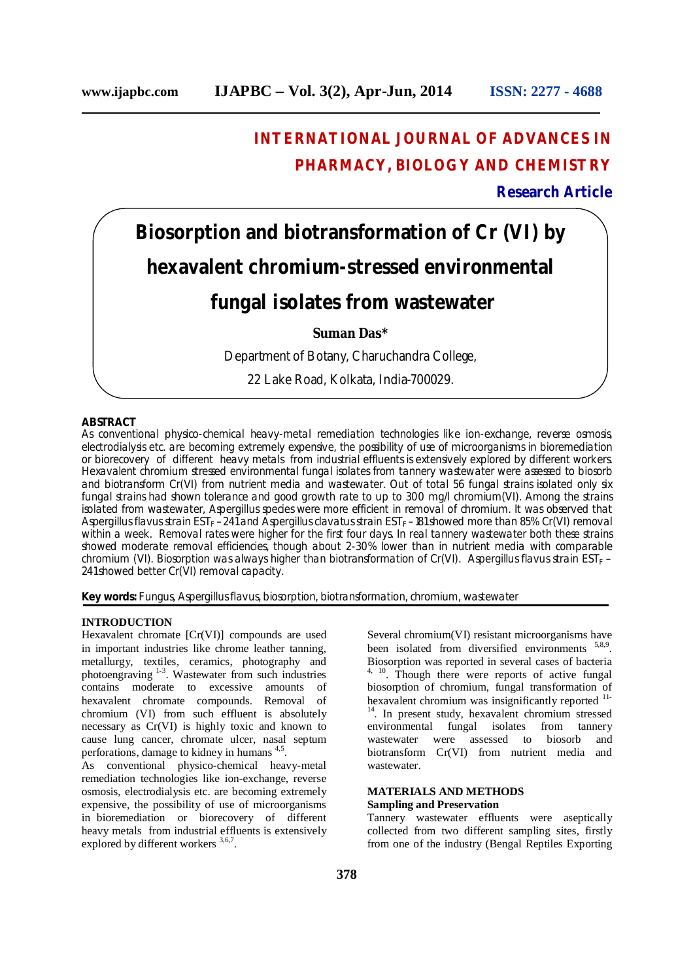# **INTERNATIONAL JOURNAL OF ADVANCES IN PHARMACY, BIOLOGY AND CHEMISTRY**

### **Research Article**

**Biosorption and biotransformation of Cr (VI) by hexavalent chromium-stressed environmental**

## **fungal isolates from wastewater**

#### **Suman Das\***

Department of Botany, Charuchandra College,

22 Lake Road, Kolkata, India-700029.

#### **ABSTRACT**

As conventional physico-chemical heavy-metal remediation technologies like ion-exchange, reverse osmosis, electrodialysis etc. are becoming extremely expensive, the possibility of use of microorganisms in bioremediation or biorecovery of different heavy metals from industrial effluents is extensively explored by different workers. Hexavalent chromium stressed environmental fungal isolates from tannery wastewater were assessed to biosorb and biotransform Cr(VI) from nutrient media and wastewater. Out of total 56 fungal strains isolated only six fungal strains had shown tolerance and good growth rate to up to 300 mg/l chromium(VI). Among the strains isolated from wastewater, *Aspergillus* species were more efficient in removal of chromium. It was observed that Aspergillus flavus strain EST<sub>F</sub> –241 and Aspergillus clavatus strain EST<sub>F</sub> –181 showed more than 85% Cr(VI) removal within a week. Removal rates were higher for the first four days. In real tannery wastewater both these strains showed moderate removal efficiencies, though about 2-30% lower than in nutrient media with comparable chromium (VI). Biosorption was always higher than biotransformation of Cr(VI). *Aspergillus flavus* strain EST<sub>F</sub> – 241 showed better Cr(VI) removal capacity.

**Key words:** Fungus, *Aspergillus flavus,* biosorption, biotransformation, chromium, wastewater

#### **INTRODUCTION**

Hexavalent chromate [Cr(VI)] compounds are used in important industries like chrome leather tanning, metallurgy, textiles, ceramics, photography and photoengraving <sup>1-3</sup>. Wastewater from such industries contains moderate to excessive amounts of hexavalent chromate compounds. Removal of chromium (VI) from such effluent is absolutely necessary as Cr(VI) is highly toxic and known to cause lung cancer, chromate ulcer, nasal septum perforations, damage to kidney in humans <sup>4,5</sup>.

As conventional physico-chemical heavy-metal remediation technologies like ion-exchange, reverse osmosis, electrodialysis etc. are becoming extremely expensive, the possibility of use of microorganisms in bioremediation or biorecovery of different heavy metals from industrial effluents is extensively explored by different workers <sup>3,6,7</sup>.

Several chromium(VI) resistant microorganisms have been isolated from diversified environments <sup>5,8,9</sup>. Biosorption was reported in several cases of bacteria <sup>4, 10</sup>. Though there were reports of active fungal biosorption of chromium, fungal transformation of hexavalent chromium was insignificantly reported <sup>11-</sup>  $14$ . In present study, hexavalent chromium stressed<br>environmental fungal isolates from tannery from tannery wastewater were assessed to biosorb and biotransform Cr(VI) from nutrient media and wastewater.

#### **MATERIALS AND METHODS Sampling and Preservation**

Tannery wastewater effluents were aseptically collected from two different sampling sites, firstly from one of the industry (Bengal Reptiles Exporting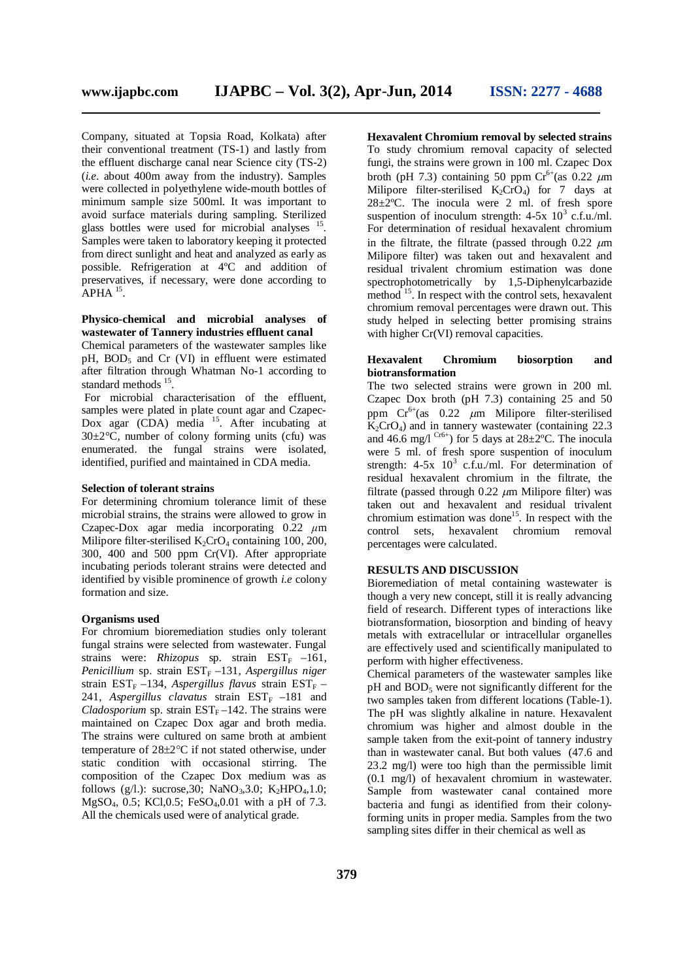Company, situated at Topsia Road, Kolkata) after their conventional treatment (TS-1) and lastly from the effluent discharge canal near Science city (TS-2) (*i.e.* about 400m away from the industry). Samples were collected in polyethylene wide-mouth bottles of minimum sample size 500ml. It was important to avoid surface materials during sampling. Sterilized glass bottles were used for microbial analyses <sup>15</sup>. Samples were taken to laboratory keeping it protected from direct sunlight and heat and analyzed as early as possible. Refrigeration at 4ºC and addition of preservatives, if necessary, were done according to  $APHA$ <sup>15</sup>.

#### **Physico-chemical and microbial analyses of wastewater of Tannery industries effluent canal**

Chemical parameters of the wastewater samples like pH, BOD<sub>5</sub> and Cr (VI) in effluent were estimated after filtration through Whatman No-1 according to standard methods <sup>15</sup>.

For microbial characterisation of the effluent, samples were plated in plate count agar and Czapec- $Dox$  agar (CDA) media  $15$ . After incubating at  $30\pm2\degree$ C, number of colony forming units (cfu) was enumerated. the fungal strains were isolated, identified, purified and maintained in CDA media.

#### **Selection of tolerant strains**

For determining chromium tolerance limit of these microbial strains, the strains were allowed to grow in Czapec-Dox agar media incorporating 0.22 *μ*m Milipore filter-sterilised  $K_2$ CrO<sub>4</sub> containing 100, 200, 300, 400 and 500 ppm Cr(VI). After appropriate incubating periods tolerant strains were detected and identified by visible prominence of growth *i.e* colony formation and size.

#### **Organisms used**

For chromium bioremediation studies only tolerant fungal strains were selected from wastewater. Fungal strains were: *Rhizopus* sp. strain EST<sub>F</sub> –161, *Penicillium* sp. strain  $EST_F-131$ , *Aspergillus niger* strain EST<sub>F</sub> –134, *Aspergillus flavus* strain EST<sub>F</sub> – 241, *Aspergillus clavatus* strain  $EST_F -181$  and *Cladosporium* sp. strain  $EST_F-142$ . The strains were maintained on Czapec Dox agar and broth media. The strains were cultured on same broth at ambient temperature of  $28\pm2\degree C$  if not stated otherwise, under static condition with occasional stirring. The composition of the Czapec Dox medium was as follows (g/l.): sucrose, 30; NaNO<sub>3</sub>, 3.0; K<sub>2</sub>HPO<sub>4</sub>, 1.0;  $MgSO<sub>4</sub>, 0.5$ ; KCl, 0.5; FeSO<sub>4</sub>, 0.01 with a pH of 7.3. All the chemicals used were of analytical grade.

**Hexavalent Chromium removal by selected strains** To study chromium removal capacity of selected fungi, the strains were grown in 100 ml. Czapec Dox broth (pH 7.3) containing 50 ppm  $Cr^{6+}(as 0.22 \mu m)$ Milipore filter-sterilised  $K_2$ CrO<sub>4</sub>) for 7 days at  $28 \pm 2$ °C. The inocula were 2 ml. of fresh spore suspention of inoculum strength:  $4-5x$  10<sup>3</sup> c.f.u./ml. For determination of residual hexavalent chromium in the filtrate, the filtrate (passed through  $0.22 \mu m$ Milipore filter) was taken out and hexavalent and residual trivalent chromium estimation was done spectrophotometrically by 1,5-Diphenylcarbazide method <sup>15</sup>. In respect with the control sets, hexavalent chromium removal percentages were drawn out. This study helped in selecting better promising strains with higher Cr(VI) removal capacities.

#### **Hexavalent Chromium biosorption and biotransformation**

The two selected strains were grown in 200 ml. Czapec Dox broth (pH 7.3) containing 25 and 50 ppm  $Cr^{6+}(as \ 0.22 \ \mu m$  Milipore filter-sterilised  $K_2$ CrO<sub>4</sub>) and in tannery wastewater (containing 22.3 and 46.6 mg/l  $Cref$  for 5 days at 28 $\pm$ 2°C. The inocula were 5 ml. of fresh spore suspention of inoculum strength:  $4-5x$   $10^3$  c.f.u./ml. For determination of residual hexavalent chromium in the filtrate, the filtrate (passed through  $0.22 \mu m$  Milipore filter) was taken out and hexavalent and residual trivalent chromium estimation was done<sup>15</sup>. In respect with the control sets, hexavalent chromium removal percentages were calculated.

#### **RESULTS AND DISCUSSION**

Bioremediation of metal containing wastewater is though a very new concept, still it is really advancing field of research. Different types of interactions like biotransformation, biosorption and binding of heavy metals with extracellular or intracellular organelles are effectively used and scientifically manipulated to perform with higher effectiveness.

Chemical parameters of the wastewater samples like pH and BOD<sub>5</sub> were not significantly different for the two samples taken from different locations (Table-1). The pH was slightly alkaline in nature. Hexavalent chromium was higher and almost double in the sample taken from the exit-point of tannery industry than in wastewater canal. But both values (47.6 and 23.2 mg/l) were too high than the permissible limit (0.1 mg/l) of hexavalent chromium in wastewater. Sample from wastewater canal contained more bacteria and fungi as identified from their colonyforming units in proper media. Samples from the two sampling sites differ in their chemical as well as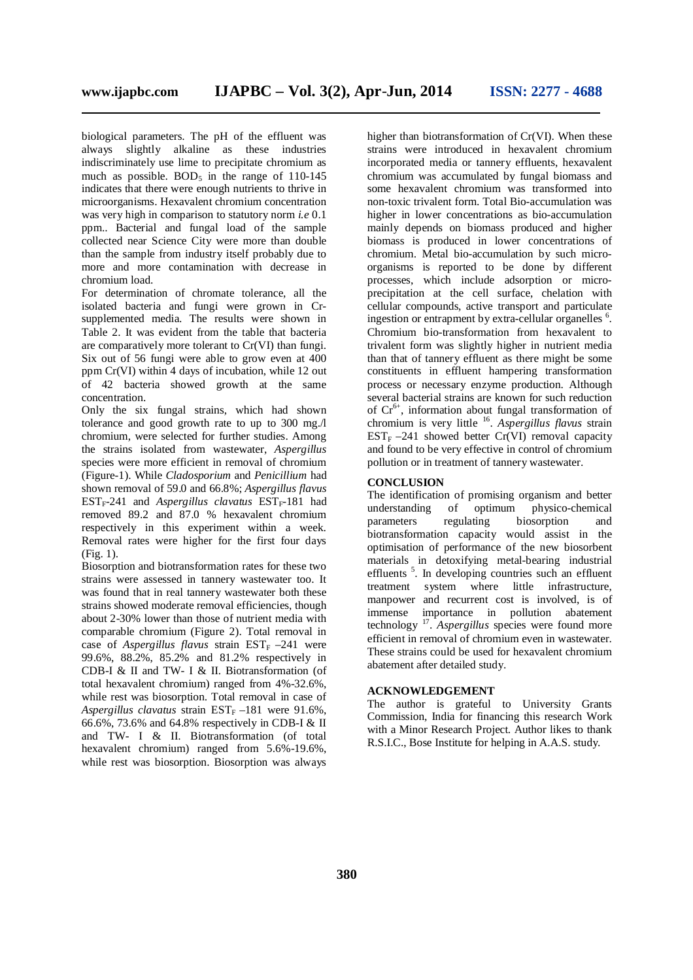biological parameters. The pH of the effluent was always slightly alkaline as these industries indiscriminately use lime to precipitate chromium as much as possible. BOD<sub>5</sub> in the range of  $110-145$ indicates that there were enough nutrients to thrive in microorganisms. Hexavalent chromium concentration was very high in comparison to statutory norm *i.e* 0.1 ppm.. Bacterial and fungal load of the sample collected near Science City were more than double than the sample from industry itself probably due to more and more contamination with decrease in chromium load.

For determination of chromate tolerance, all the isolated bacteria and fungi were grown in Crsupplemented media. The results were shown in Table 2. It was evident from the table that bacteria are comparatively more tolerant to Cr(VI) than fungi. Six out of 56 fungi were able to grow even at 400 ppm Cr(VI) within 4 days of incubation, while 12 out of 42 bacteria showed growth at the same concentration.

Only the six fungal strains, which had shown tolerance and good growth rate to up to 300 mg./l chromium, were selected for further studies. Among the strains isolated from wastewater, *Aspergillus* species were more efficient in removal of chromium (Figure-1). While *Cladosporium* and *Penicillium* had shown removal of 59.0 and 66.8%; *Aspergillus flavus*  $EST_F-241$  and *Aspergillus clavatus*  $EST_F-181$  had removed 89.2 and 87.0 % hexavalent chromium respectively in this experiment within a week. Removal rates were higher for the first four days (Fig. 1).

Biosorption and biotransformation rates for these two strains were assessed in tannery wastewater too. It was found that in real tannery wastewater both these strains showed moderate removal efficiencies, though about 2-30% lower than those of nutrient media with comparable chromium (Figure 2). Total removal in case of *Aspergillus flavus* strain  $EST_F -241$  were 99.6%, 88.2%, 85.2% and 81.2% respectively in CDB-I & II and TW- I & II. Biotransformation (of total hexavalent chromium) ranged from 4%-32.6%, while rest was biosorption. Total removal in case of *Aspergillus clavatus* strain  $EST_F -181$  were 91.6%, 66.6%, 73.6% and 64.8% respectively in CDB-I & II and TW- I & II. Biotransformation (of total hexavalent chromium) ranged from 5.6%-19.6%, while rest was biosorption. Biosorption was always

higher than biotransformation of Cr(VI). When these strains were introduced in hexavalent chromium incorporated media or tannery effluents, hexavalent chromium was accumulated by fungal biomass and some hexavalent chromium was transformed into non-toxic trivalent form. Total Bio-accumulation was higher in lower concentrations as bio-accumulation mainly depends on biomass produced and higher biomass is produced in lower concentrations of chromium. Metal bio-accumulation by such microorganisms is reported to be done by different processes, which include adsorption or microprecipitation at the cell surface, chelation with cellular compounds, active transport and particulate ingestion or entrapment by extra-cellular organelles <sup>6</sup>. Chromium bio-transformation from hexavalent to trivalent form was slightly higher in nutrient media than that of tannery effluent as there might be some constituents in effluent hampering transformation process or necessary enzyme production. Although several bacterial strains are known for such reduction of  $Cr^{6+}$ , information about fungal transformation of chromium is very little <sup>16</sup> . *Aspergillus flavus* strain  $EST_F -241$  showed better  $Cr(VI)$  removal capacity and found to be very effective in control of chromium pollution or in treatment of tannery wastewater.

#### **CONCLUSION**

The identification of promising organism and better understanding of optimum physico-chemical parameters regulating biosorption and biotransformation capacity would assist in the optimisation of performance of the new biosorbent materials in detoxifying metal-bearing industrial effluents<sup>5</sup>. In developing countries such an effluent treatment system where little infrastructure, manpower and recurrent cost is involved, is of immense importance in pollution abatement technology <sup>17</sup> . *Aspergillus* species were found more efficient in removal of chromium even in wastewater. These strains could be used for hexavalent chromium abatement after detailed study.

#### **ACKNOWLEDGEMENT**

The author is grateful to University Grants Commission, India for financing this research Work with a Minor Research Project. Author likes to thank R.S.I.C., Bose Institute for helping in A.A.S. study.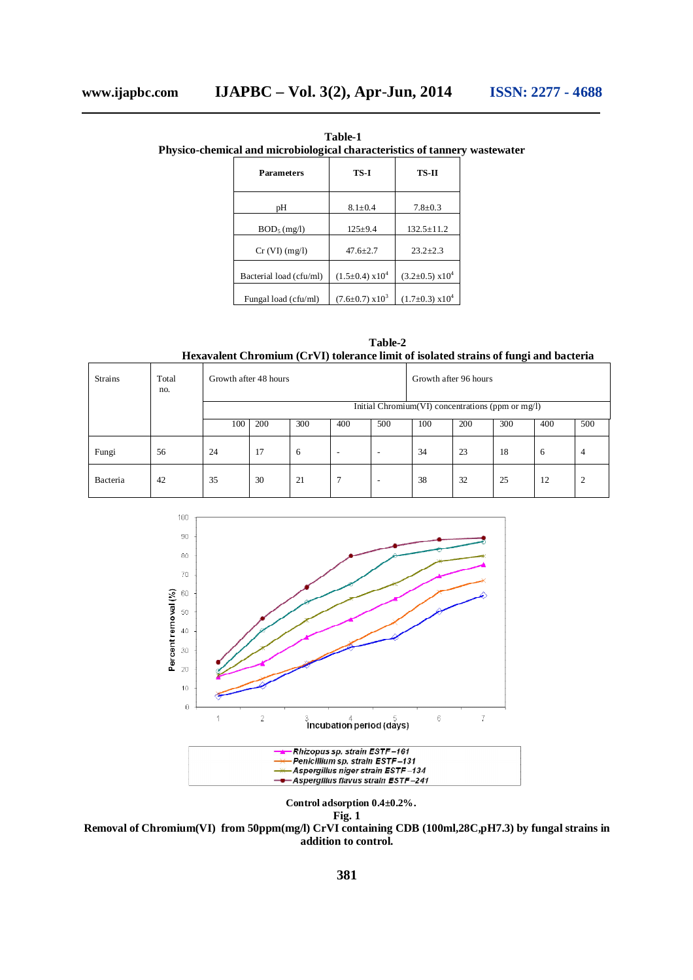**Table-1 Physico-chemical and microbiological characteristics of tannery wastewater**

| <b>Parameters</b>       | TS-I                           | TS-II                          |  |  |
|-------------------------|--------------------------------|--------------------------------|--|--|
| pН                      | $8.1 + 0.4$                    | $7.8 + 0.3$                    |  |  |
| $BOD_5$ (mg/l)          | $125+9.4$                      | $132.5 + 11.2$                 |  |  |
| Cr (VI) (mg/l)          | $47.6 + 2.7$                   | $23.2 + 2.3$                   |  |  |
| Bacterial load (cfu/ml) | $(1.5\pm0.4)$ x10 <sup>4</sup> | $(3.2\pm0.5)$ x10 <sup>4</sup> |  |  |
| Fungal load (cfu/ml)    | $(7.6 \pm 0.7) \times 10^3$    | $(1.7\pm0.3)$ x10 <sup>4</sup> |  |  |

**Table-2 Hexavalent Chromium (CrVI) tolerance limit of isolated strains of fungi and bacteria**

| <b>Strains</b> | Total<br>no. | Growth after 48 hours                             |     |     |                          | Growth after 96 hours    |     |     |     |     |                |
|----------------|--------------|---------------------------------------------------|-----|-----|--------------------------|--------------------------|-----|-----|-----|-----|----------------|
|                |              | Initial Chromium(VI) concentrations (ppm or mg/I) |     |     |                          |                          |     |     |     |     |                |
|                |              | 100                                               | 200 | 300 | 400                      | 500                      | 100 | 200 | 300 | 400 | 500            |
| Fungi          | 56           | 24                                                | 17  | 6   | $\overline{\phantom{0}}$ | $\overline{\phantom{a}}$ | 34  | 23  | 18  | 6   | $\overline{4}$ |
| Bacteria       | 42           | 35                                                | 30  | 21  |                          | $\overline{\phantom{a}}$ | 38  | 32  | 25  | 12  | $\overline{2}$ |



**Control adsorption 0.4±0.2%. Fig. 1** 

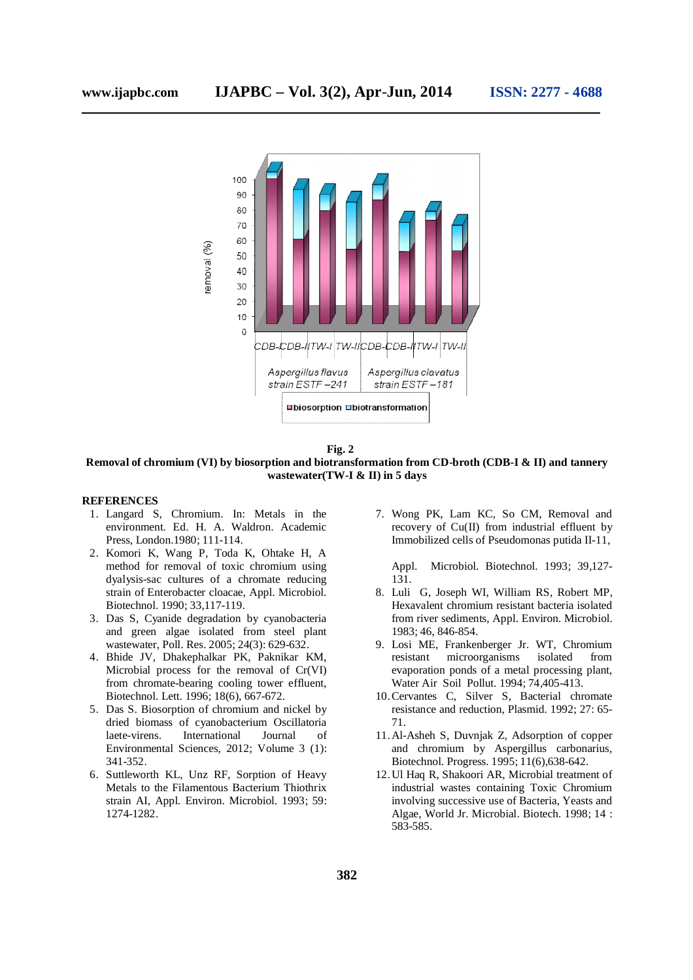

**Fig. 2** 

**Removal of chromium (VI) by biosorption and biotransformation from CD-broth (CDB-I & II) and tannery wastewater(TW-I & II) in 5 days**

#### **REFERENCES**

- 1. Langard S, Chromium. In: Metals in the environment. Ed. H. A. Waldron. Academic Press, London.1980; 111-114.
- 2. Komori K, Wang P, Toda K, Ohtake H, A method for removal of toxic chromium using dyalysis-sac cultures of a chromate reducing strain of Enterobacter cloacae, Appl. Microbiol. Biotechnol. 1990; 33,117-119.
- 3. Das S, Cyanide degradation by cyanobacteria and green algae isolated from steel plant wastewater, Poll. Res. 2005; 24(3): 629-632.
- 4. Bhide JV, Dhakephalkar PK, Paknikar KM, Microbial process for the removal of Cr(VI) from chromate-bearing cooling tower effluent, Biotechnol. Lett. 1996; 18(6), 667-672.
- 5. Das S. Biosorption of chromium and nickel by dried biomass of cyanobacterium Oscillatoria laete-virens. International Journal of Environmental Sciences, 2012; Volume 3 (1): 341-352.
- 6. Suttleworth KL, Unz RF, Sorption of Heavy Metals to the Filamentous Bacterium Thiothrix strain AI, Appl. Environ. Microbiol. 1993; 59: 1274-1282.

7. Wong PK, Lam KC, So CM, Removal and recovery of Cu(II) from industrial effluent by Immobilized cells of Pseudomonas putida II-11,

Appl. Microbiol. Biotechnol. 1993; 39,127- 131.

- 8. Luli G, Joseph WI, William RS, Robert MP, Hexavalent chromium resistant bacteria isolated from river sediments, Appl. Environ. Microbiol. 1983; 46, 846-854.
- 9. Losi ME, Frankenberger Jr. WT, Chromium resistant microorganisms isolated from evaporation ponds of a metal processing plant, Water Air Soil Pollut. 1994; 74,405-413.
- 10.Cervantes C, Silver S, Bacterial chromate resistance and reduction, Plasmid. 1992; 27: 65- 71.
- 11.Al-Asheh S, Duvnjak Z, Adsorption of copper and chromium by Aspergillus carbonarius, Biotechnol. Progress. 1995; 11(6),638-642.
- 12.Ul Haq R, Shakoori AR, Microbial treatment of industrial wastes containing Toxic Chromium involving successive use of Bacteria, Yeasts and Algae, World Jr. Microbial. Biotech. 1998; 14 : 583-585.